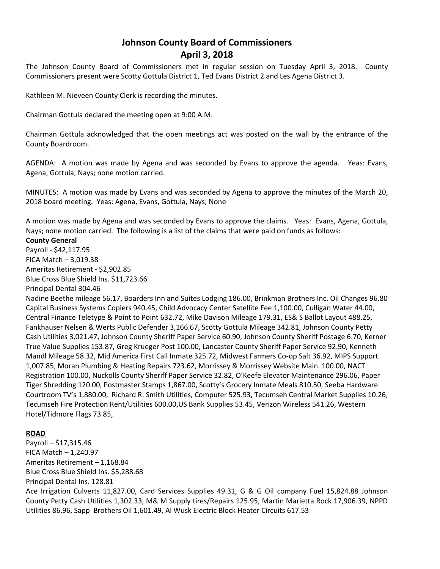# **Johnson County Board of Commissioners April 3, 2018**

The Johnson County Board of Commissioners met in regular session on Tuesday April 3, 2018. County Commissioners present were Scotty Gottula District 1, Ted Evans District 2 and Les Agena District 3.

Kathleen M. Nieveen County Clerk is recording the minutes.

Chairman Gottula declared the meeting open at 9:00 A.M.

Chairman Gottula acknowledged that the open meetings act was posted on the wall by the entrance of the County Boardroom.

AGENDA: A motion was made by Agena and was seconded by Evans to approve the agenda. Yeas: Evans, Agena, Gottula, Nays; none motion carried.

MINUTES: A motion was made by Evans and was seconded by Agena to approve the minutes of the March 20, 2018 board meeting. Yeas: Agena, Evans, Gottula, Nays; None

A motion was made by Agena and was seconded by Evans to approve the claims. Yeas: Evans, Agena, Gottula, Nays; none motion carried. The following is a list of the claims that were paid on funds as follows:

## **County General**

Payroll - \$42,117.95 FICA Match – 3,019.38 Ameritas Retirement - \$2,902.85 Blue Cross Blue Shield Ins. \$11,723.66 Principal Dental 304.46

Nadine Beethe mileage 56.17, Boarders Inn and Suites Lodging 186.00, Brinkman Brothers Inc. Oil Changes 96.80 Capital Business Systems Copiers 940.45, Child Advocacy Center Satellite Fee 1,100.00, Culligan Water 44.00, Central Finance Teletype & Point to Point 632.72, Mike Davison Mileage 179.31, ES& S Ballot Layout 488.25, Fankhauser Nelsen & Werts Public Defender 3,166.67, Scotty Gottula Mileage 342.81, Johnson County Petty Cash Utilities 3,021.47, Johnson County Sheriff Paper Service 60.90, Johnson County Sheriff Postage 6.70, Kerner True Value Supplies 153.87, Greg Krueger Post 100.00, Lancaster County Sheriff Paper Service 92.90, Kenneth Mandl Mileage 58.32, Mid America First Call Inmate 325.72, Midwest Farmers Co-op Salt 36.92, MIPS Support 1,007.85, Moran Plumbing & Heating Repairs 723.62, Morrissey & Morrissey Website Main. 100.00, NACT Registration 100.00, Nuckolls County Sheriff Paper Service 32.82, O'Keefe Elevator Maintenance 296.06, Paper Tiger Shredding 120.00, Postmaster Stamps 1,867.00, Scotty's Grocery Inmate Meals 810.50, Seeba Hardware Courtroom TV's 1,880.00, Richard R. Smith Utilities, Computer 525.93, Tecumseh Central Market Supplies 10.26, Tecumseh Fire Protection Rent/Utilities 600.00,US Bank Supplies 53.45, Verizon Wireless 541.26, Western Hotel/Tidmore Flags 73.85,

## **ROAD**

Payroll – \$17,315.46 FICA Match – 1,240.97 Ameritas Retirement – 1,168.84 Blue Cross Blue Shield Ins. \$5,288.68 Principal Dental Ins. 128.81 Ace Irrigation Culverts 11,827.00, Card Services Supplies 49.31, G & G Oil company Fuel 15,824.88 Johnson County Petty Cash Utilities 1,302.33, M& M Supply tires/Repairs 125.95, Martin Marietta Rock 17,906.39, NPPD Utilities 86.96, Sapp Brothers Oil 1,601.49, Al Wusk Electric Block Heater Circuits 617.53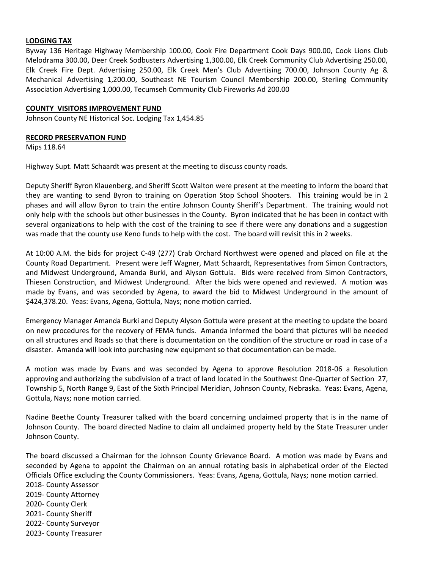## **LODGING TAX**

Byway 136 Heritage Highway Membership 100.00, Cook Fire Department Cook Days 900.00, Cook Lions Club Melodrama 300.00, Deer Creek Sodbusters Advertising 1,300.00, Elk Creek Community Club Advertising 250.00, Elk Creek Fire Dept. Advertising 250.00, Elk Creek Men's Club Advertising 700.00, Johnson County Ag & Mechanical Advertising 1,200.00, Southeast NE Tourism Council Membership 200.00, Sterling Community Association Advertising 1,000.00, Tecumseh Community Club Fireworks Ad 200.00

#### **COUNTY VISITORS IMPROVEMENT FUND**

Johnson County NE Historical Soc. Lodging Tax 1,454.85

#### **RECORD PRESERVATION FUND**

Mips 118.64

Highway Supt. Matt Schaardt was present at the meeting to discuss county roads.

Deputy Sheriff Byron Klauenberg, and Sheriff Scott Walton were present at the meeting to inform the board that they are wanting to send Byron to training on Operation Stop School Shooters. This training would be in 2 phases and will allow Byron to train the entire Johnson County Sheriff's Department. The training would not only help with the schools but other businesses in the County. Byron indicated that he has been in contact with several organizations to help with the cost of the training to see if there were any donations and a suggestion was made that the county use Keno funds to help with the cost. The board will revisit this in 2 weeks.

At 10:00 A.M. the bids for project C-49 (277) Crab Orchard Northwest were opened and placed on file at the County Road Department. Present were Jeff Wagner, Matt Schaardt, Representatives from Simon Contractors, and Midwest Underground, Amanda Burki, and Alyson Gottula. Bids were received from Simon Contractors, Thiesen Construction, and Midwest Underground. After the bids were opened and reviewed. A motion was made by Evans, and was seconded by Agena, to award the bid to Midwest Underground in the amount of \$424,378.20. Yeas: Evans, Agena, Gottula, Nays; none motion carried.

Emergency Manager Amanda Burki and Deputy Alyson Gottula were present at the meeting to update the board on new procedures for the recovery of FEMA funds. Amanda informed the board that pictures will be needed on all structures and Roads so that there is documentation on the condition of the structure or road in case of a disaster. Amanda will look into purchasing new equipment so that documentation can be made.

A motion was made by Evans and was seconded by Agena to approve Resolution 2018-06 a Resolution approving and authorizing the subdivision of a tract of land located in the Southwest One-Quarter of Section 27, Township 5, North Range 9, East of the Sixth Principal Meridian, Johnson County, Nebraska. Yeas: Evans, Agena, Gottula, Nays; none motion carried.

Nadine Beethe County Treasurer talked with the board concerning unclaimed property that is in the name of Johnson County. The board directed Nadine to claim all unclaimed property held by the State Treasurer under Johnson County.

The board discussed a Chairman for the Johnson County Grievance Board. A motion was made by Evans and seconded by Agena to appoint the Chairman on an annual rotating basis in alphabetical order of the Elected Officials Office excluding the County Commissioners. Yeas: Evans, Agena, Gottula, Nays; none motion carried.

2018- County Assessor 2019- County Attorney 2020- County Clerk 2021- County Sheriff 2022- County Surveyor 2023- County Treasurer